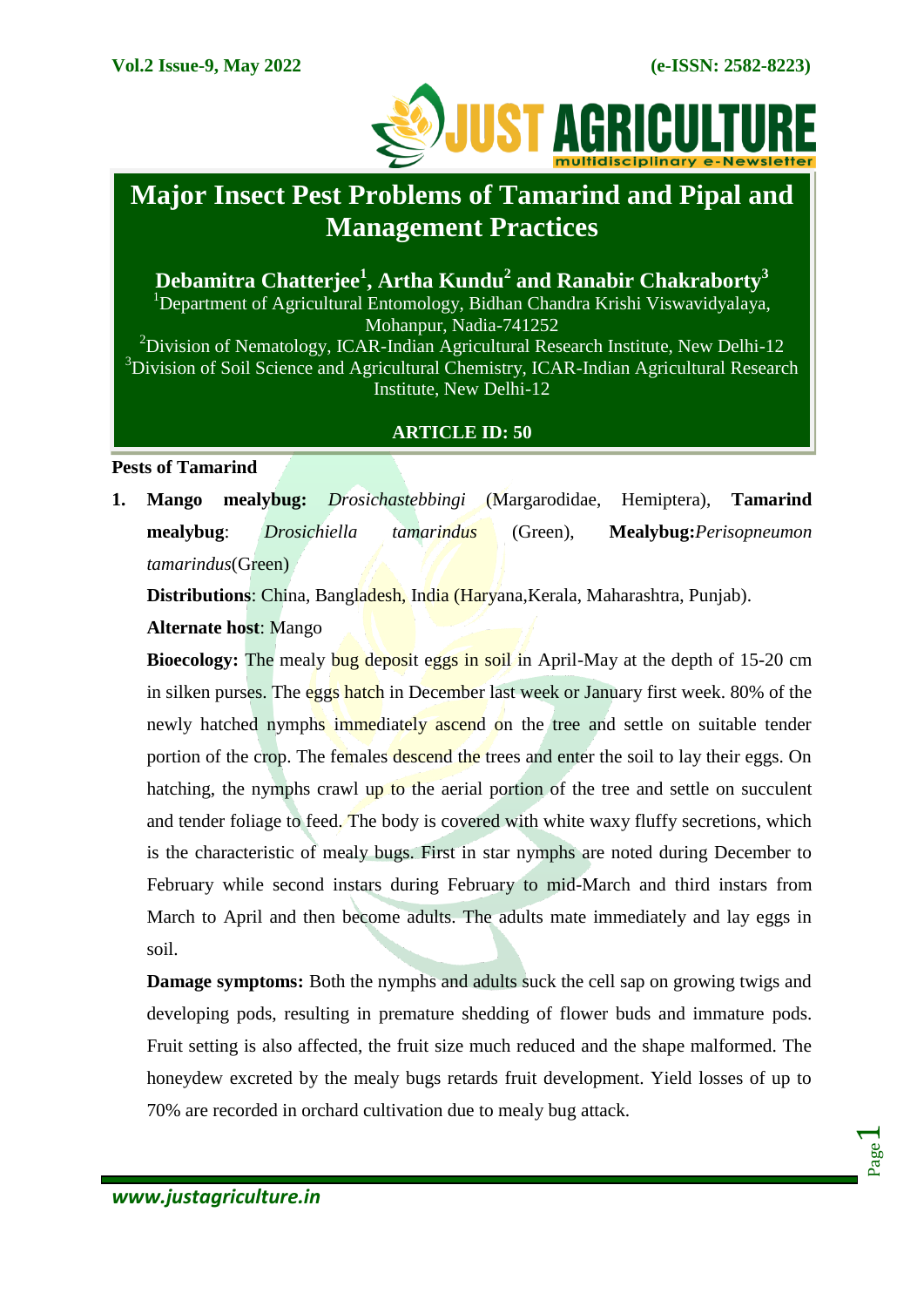

# **Major Insect Pest Problems of Tamarind and Pipal and Management Practices**

**Debamitra Chatterjee<sup>1</sup> , Artha Kundu<sup>2</sup> and Ranabir Chakraborty<sup>3</sup>** <sup>1</sup>Department of Agricultural Entomology, Bidhan Chandra Krishi Viswavidyalaya, Mohanpur, Nadia-741252 <sup>2</sup>Division of Nematology, ICAR-Indian Agricultural Research Institute, New Delhi-12 <sup>3</sup>Division of Soil Science and Agricultural Chemistry, ICAR-Indian Agricultural Research Institute, New Delhi-12

# **ARTICLE ID: 50**

**Pests of Tamarind**

**1. Mango mealybug:** *Drosichastebbingi* (Margarodidae, Hemiptera), **Tamarind mealybug**: *Drosichiella tamarindus* (Green), **Mealybug:***Perisopneumon tamarindus*(Green)

**Distributions**: China, Bangladesh, India (Haryana,Kerala, Maharashtra, Punjab).

**Alternate host**: Mango

**Bioecology:** The mealy bug deposit eggs in soil in April-May at the depth of 15-20 cm in silken purses. The eggs hatch in December last week or January first week. 80% of the newly hatched nymphs immediately ascend on the tree and settle on suitable tender portion of the crop. The females descend the trees and enter the soil to lay their eggs. On hatching, the nymphs crawl up to the aerial portion of the tree and settle on succulent and tender foliage to feed. The body is covered with white waxy fluffy secretions, which is the characteristic of mealy bugs. First in star nymphs are noted during December to February while second instars during February to mid-March and third instars from March to April and then become adults. The adults mate immediately and lay eggs in soil.

**Damage symptoms:** Both the nymphs and adults suck the cell sap on growing twigs and developing pods, resulting in premature shedding of flower buds and immature pods. Fruit setting is also affected, the fruit size much reduced and the shape malformed. The honeydew excreted by the mealy bugs retards fruit development. Yield losses of up to 70% are recorded in orchard cultivation due to mealy bug attack.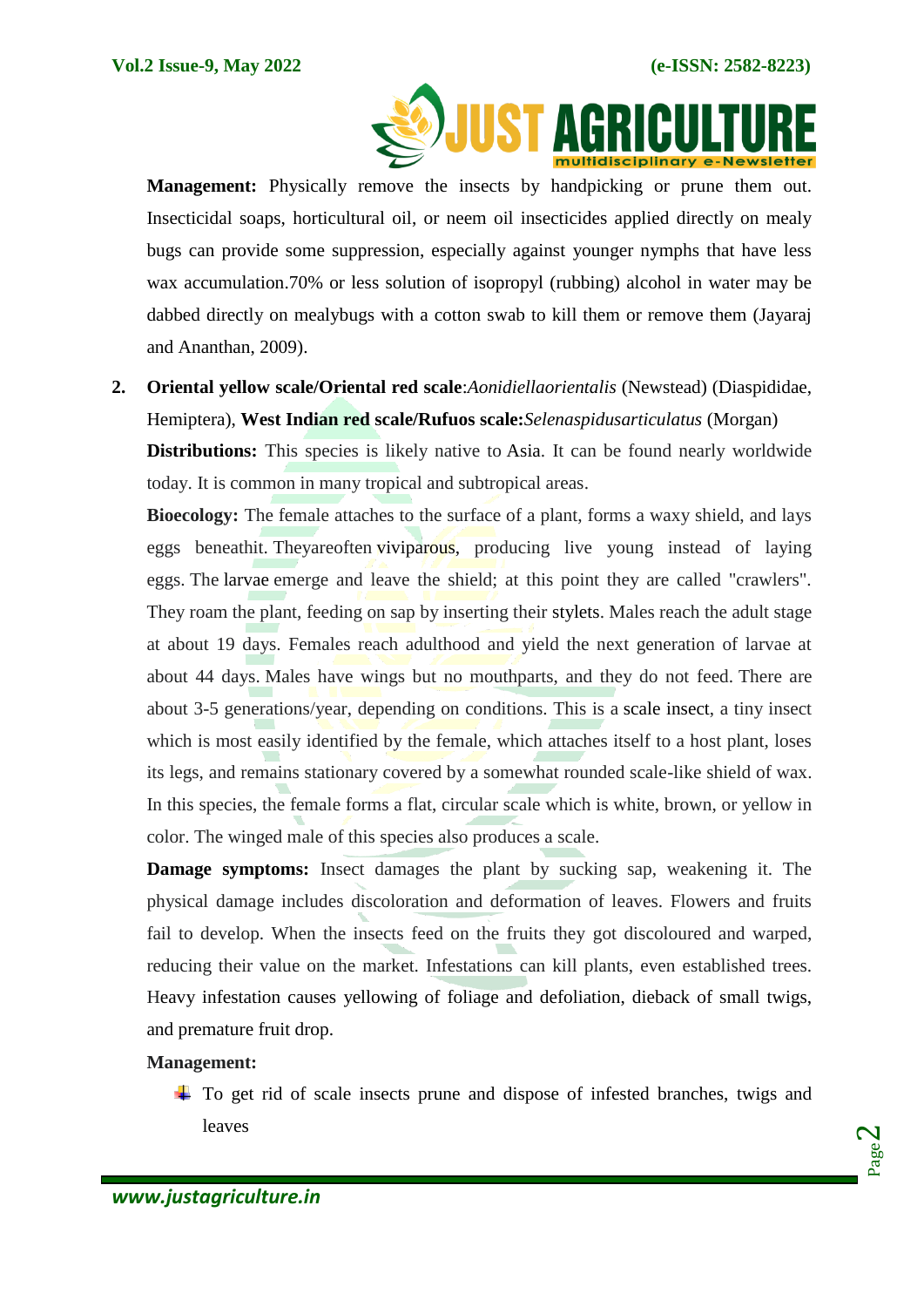

**Management:** Physically remove the insects by handpicking or prune them out. Insecticidal soaps, horticultural oil, or neem oil insecticides applied directly on mealy bugs can provide some suppression, especially against younger nymphs that have less wax accumulation.70% or less solution of isopropyl (rubbing) alcohol in water may be dabbed directly on mealybugs with a cotton swab to kill them or remove them (Jayaraj and Ananthan, 2009).

**2. Oriental yellow scale/Oriental red scale**:*Aonidiellaorientalis* (Newstead) (Diaspididae, Hemiptera), **West Indian red scale/Rufuos scale:***Selenaspidusarticulatus* (Morgan)

**Distributions:** This species is likely native to Asia. It can be found nearly worldwide today. It is common in many tropical and subtropical areas.

**Bioecology:** The female attaches to the surface of a plant, forms a waxy shield, and lays eggs beneathit. Theyareoften viviparous, producing live young instead of laying eggs. The larvae emerge and leave the shield; at this point they are called "crawlers". They roam the plant, feeding on sap by inserting their stylets. Males reach the adult stage at about 19 days. Females reach adulthood and yield the next generation of larvae at about 44 days. Males have wings but no mouthparts, and they do not feed. There are about 3-5 generations/year, depending on conditions. This is a scale insect, a tiny insect which is most easily identified by the female, which attaches itself to a host plant, loses its legs, and remains stationary covered by a somewhat rounded scale-like shield of wax. In this species, the female forms a flat, circular scale which is white, brown, or yellow in color. The winged male of this species also produces a scale.

**Damage symptoms:** Insect damages the plant by sucking sap, weakening it. The physical damage includes discoloration and deformation of leaves. Flowers and fruits fail to develop. When the insects feed on the fruits they got discoloured and warped, reducing their value on the market. Infestations can kill plants, even established trees. Heavy infestation causes yellowing of foliage and defoliation, dieback of small twigs, and premature fruit drop.

# **Management:**

 $\pm$  To get rid of scale insects prune and dispose of infested branches, twigs and leaves

Page  $\boldsymbol{\sim}$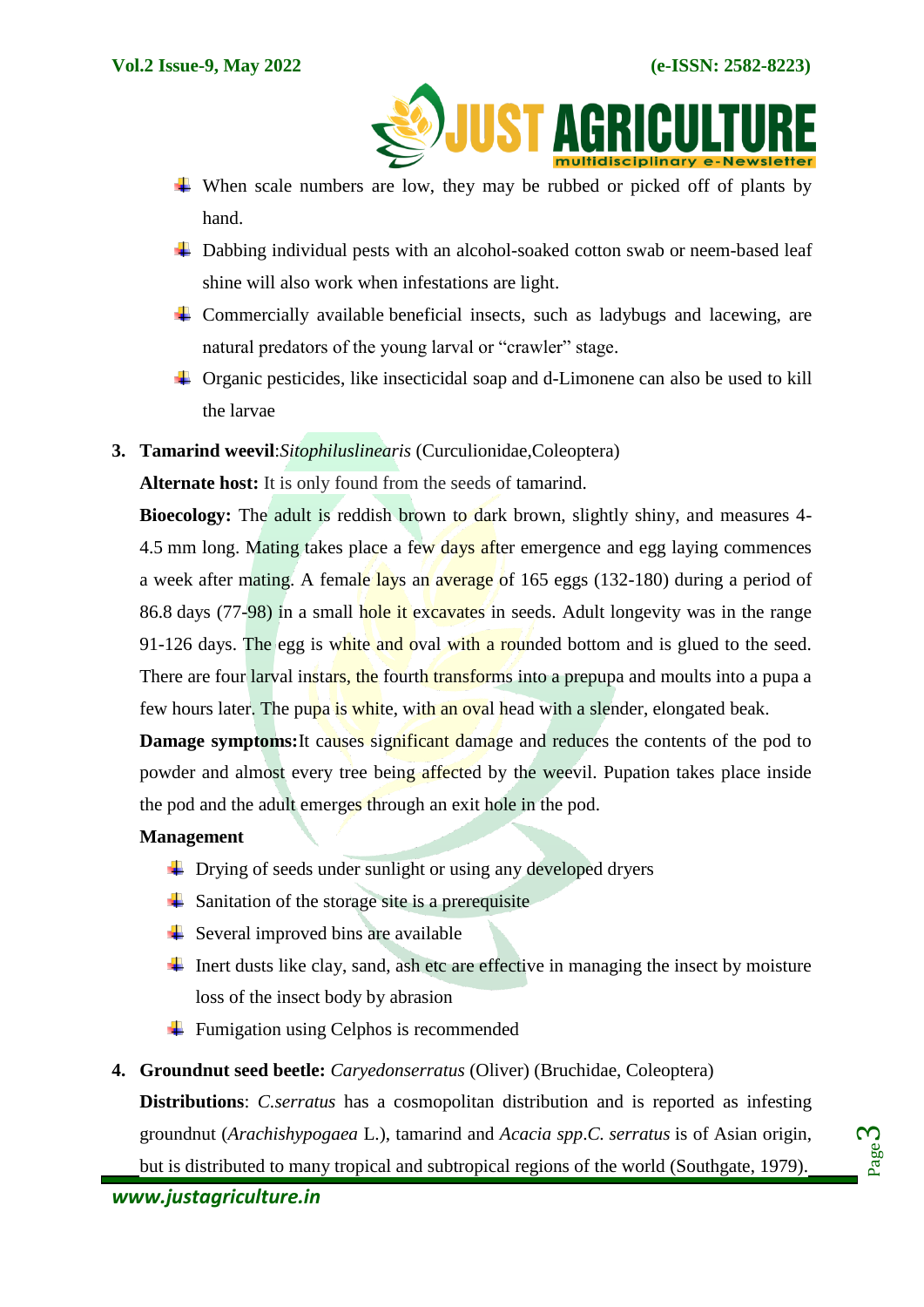

- When scale numbers are low, they may be rubbed or picked off of plants by hand.
- $\overline{\phantom{a}}$  Dabbing individual pests with an alcohol-soaked cotton swab or [neem-based](https://www.planetnatural.com/product-category/growing-indoors/hydroponics/leaf-shine-wash/) leaf [shine](https://www.planetnatural.com/product-category/growing-indoors/hydroponics/leaf-shine-wash/) will also work when infestations are light.
- $\overline{\phantom{a}}$  Commercially available [beneficial](https://www.planetnatural.com/product-category/natural-pest-control/beneficial-insects/) insects, such as ladybugs and lacewing, are natural predators of the young larval or "crawler" stage.
- Organic pesticides, like [insecticidal](https://www.planetnatural.com/product/safer-insecticidal-soap/) soap and [d-Limonene](https://www.planetnatural.com/product/orange-guard/) can also be used to kill the larvae
- **3. Tamarind weevil**:*Sitophiluslinearis* (Curculionidae,Coleoptera)

**Alternate host:** It is only found from the seeds of [tamarind.](https://en.wikipedia.org/wiki/Tamarind)

**Bioecology:** The adult is reddish brown to dark brown, slightly shiny, and measures 4-4.5 mm long. Mating takes place a few days after emergence and egg laying commences a week after mating. A female lays an average of 165 eggs (132-180) during a period of 86.8 days (77-98) in a small hole it excavates in seeds. Adult longevity was in the range 91-126 days. The egg is white and oval with a rounded bottom and is glued to the seed. There are four larval instars, the fourth transforms into a prepupa and moults into a pupa a few hours later. The pupa is white, with an oval head with a slender, elongated beak.

**Damage symptoms:** It causes significant damage and reduces the contents of the pod to powder and almost every tree being affected by the weevil. Pupation takes place inside the pod and the adult emerges through an exit hole in the pod.

# **Management**

- $\overline{\phantom{a}}$  Drying of seeds under sunlight or using any developed dryers
- $\overline{\phantom{a}}$  Sanitation of the storage site is a prerequisite
- $\overline{\phantom{a}}$  Several improved bins are available
- Inert dusts like clay, sand, ash etc are effective in managing the insect by moisture loss of the insect body by abrasion
- $\overline{\phantom{a}}$  Fumigation using Celphos is recommended
- **4. Groundnut seed beetle:** *Caryedonserratus* (Oliver) (Bruchidae, Coleoptera)

**Distributions**: *C.serratus* has a cosmopolitan distribution and is reported as infesting groundnut (*Arachishypogaea* L.), tamarind and *Acacia spp*.*C. serratus* is of Asian origin, but is distributed to many tropical and subtropical regions of the world (Southgate, 1979).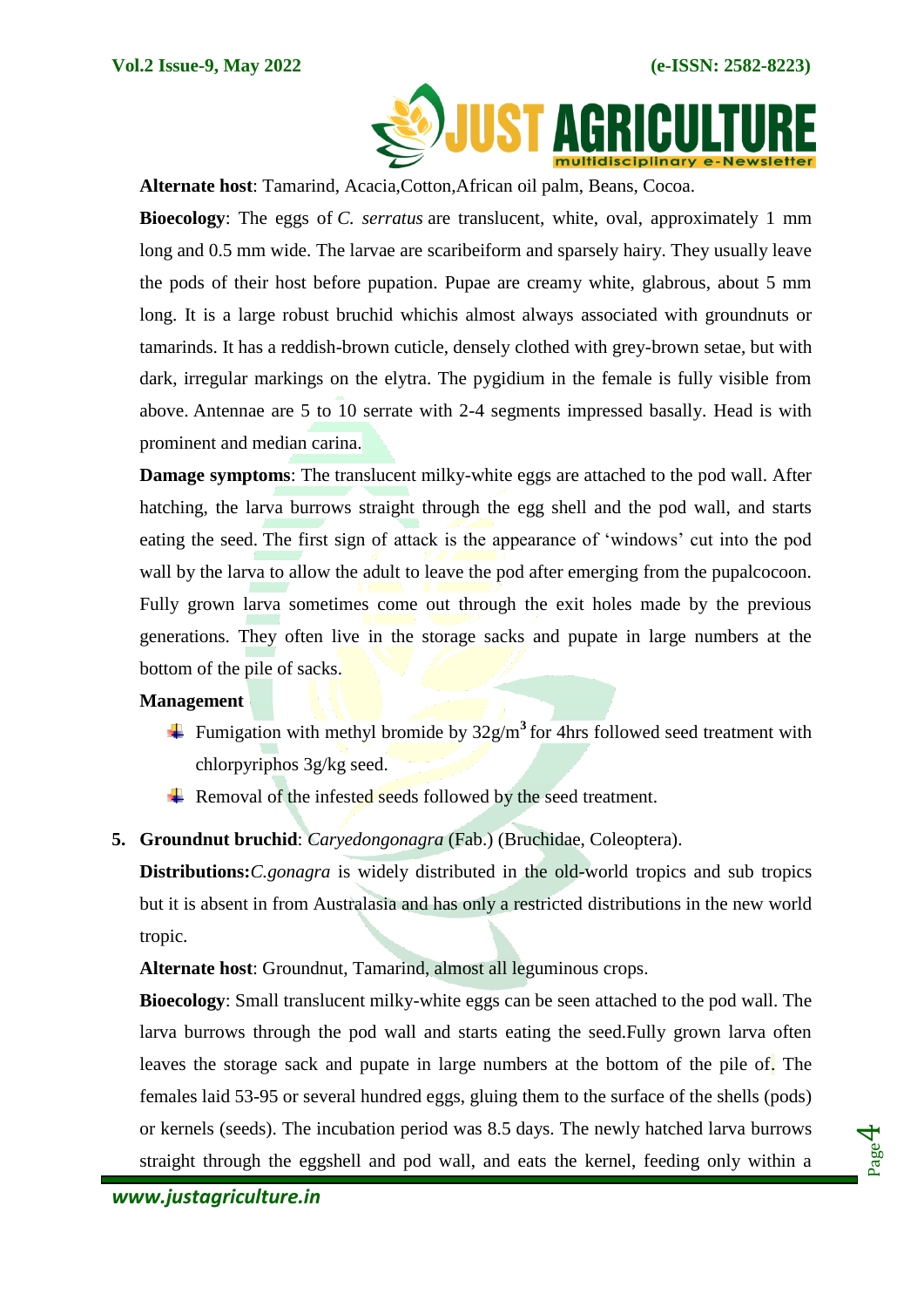

**Alternate host**: Tamarind, Acacia,Cotton,African oil palm, Beans, Cocoa.

**Bioecology**: The eggs of *C. serratus* are translucent, white, oval, approximately 1 mm long and 0.5 mm wide. The larvae are scaribeiform and sparsely hairy. They usually leave the pods of their host before pupation. Pupae are creamy white, glabrous, about 5 mm long. It is a large robust bruchid whichis almost always associated with groundnuts or tamarinds. It has a reddish-brown cuticle, densely clothed with grey-brown setae, but with dark, irregular markings on the elytra. The pygidium in the female is fully visible from above. Antennae are 5 to 10 serrate with 2-4 segments impressed basally. Head is with prominent and median carina.

**Damage symptoms**: The translucent milky-white eggs are attached to the pod wall. After hatching, the larva burrows straight through the egg shell and the pod wall, and starts eating the seed. The first sign of attack is the appearance of "windows" cut into the pod wall by the larva to allow the adult to leave the pod after emerging from the pupalcocoon. Fully grown larva sometimes come out through the exit holes made by the previous generations. They often live in the storage sacks and pupate in large numbers at the bottom of the pile of sacks.

### **Management**

- Fumigation with methyl bromide by 32g/m**<sup>3</sup>** for 4hrs followed seed treatment with chlorpyriphos 3g/kg seed.
- Removal of the infested seeds followed by the seed treatment.
- **5. Groundnut bruchid**: *Caryedongonagra* (Fab.) (Bruchidae, Coleoptera).

**Distributions:***C.gonagra* is widely distributed in the old-world tropics and sub tropics but it is absent in from Australasia and has only a restricted distributions in the new world tropic.

**Alternate host**: Groundnut, Tamarind, almost all leguminous crops.

**Bioecology**: Small translucent milky-white eggs can be seen attached to the pod wall. The larva burrows through the pod wall and starts eating the seed.Fully grown larva often leaves the storage sack and pupate in large numbers at the bottom of the pile of. The females laid 53-95 or several hundred eggs, gluing them to the surface of the shells (pods) or kernels (seeds). The incubation period was 8.5 days. The newly hatched larva burrows straight through the eggshell and pod wall, and eats the kernel, feeding only within a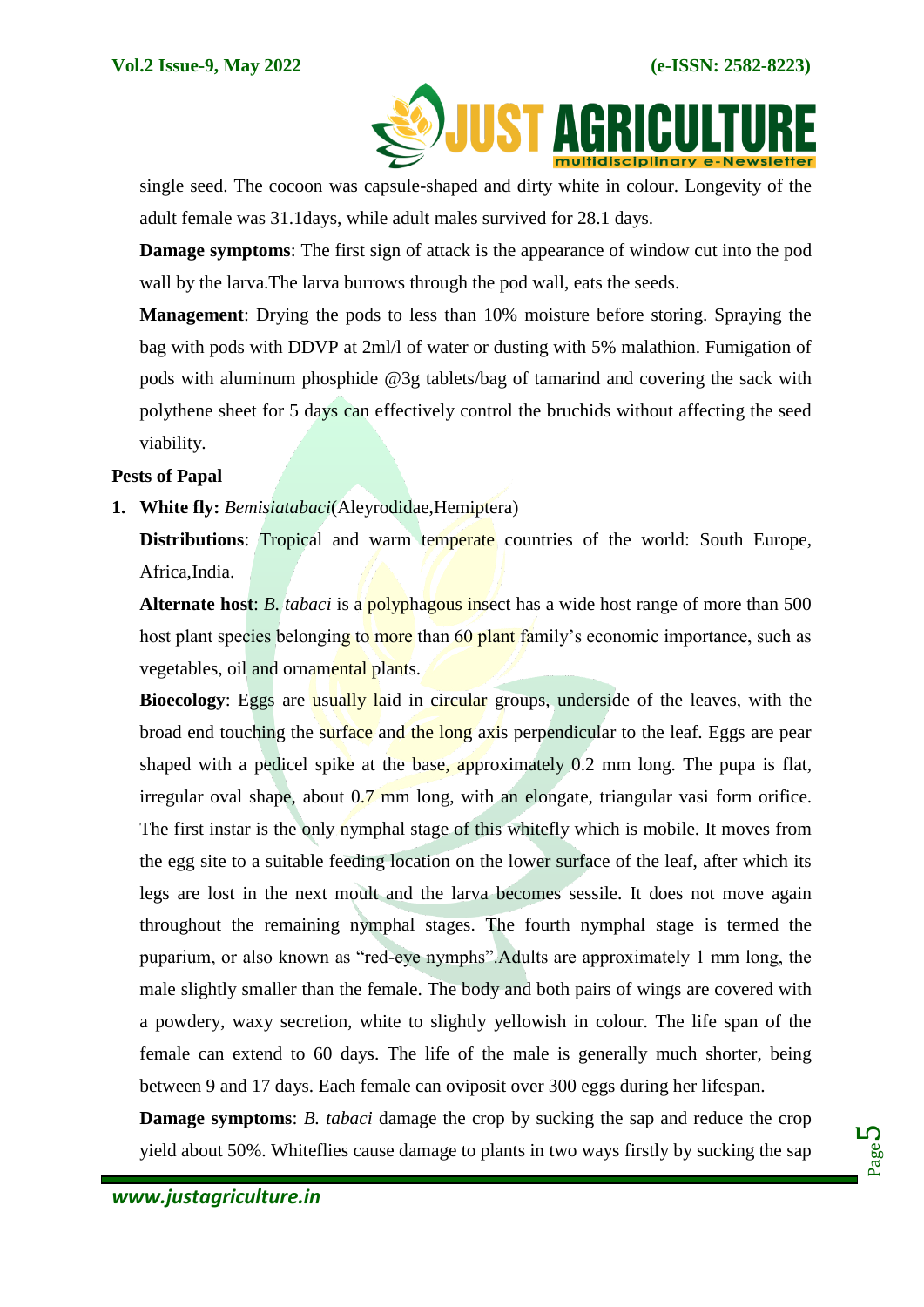

single seed. The cocoon was capsule-shaped and dirty white in colour. Longevity of the adult female was 31.1days, while adult males survived for 28.1 days.

**Damage symptoms**: The first sign of attack is the appearance of window cut into the pod wall by the larva.The larva burrows through the pod wall, eats the seeds.

**Management**: Drying the pods to less than 10% moisture before storing. Spraying the bag with pods with DDVP at 2ml/l of water or dusting with 5% malathion. Fumigation of pods with aluminum phosphide @3g tablets/bag of tamarind and covering the sack with polythene sheet for 5 days can effectively control the bruchids without affecting the seed viability.

### **Pests of Papal**

**1. White fly:** *Bemisiatabaci*(Aleyrodidae,Hemiptera)

**Distributions:** Tropical and warm temperate countries of the world: South Europe, Africa,India.

**Alternate host**: *B. tabaci* is a polyphagous insect has a wide host range of more than 500 host plant species belonging to more than 60 plant family's economic importance, such as vegetables, oil and ornamental plants.

**Bioecology**: Eggs are usually laid in circular groups, underside of the leaves, with the broad end touching the surface and the long axis perpendicular to the leaf. Eggs are pear shaped with a pedicel spike at the base, approximately 0.2 mm long. The pupa is flat, irregular oval shape, about 0.7 mm long, with an elongate, triangular vasi form orifice. The first instar is the only nymphal stage of this whitefly which is mobile. It moves from the egg site to a suitable feeding location on the lower surface of the leaf, after which its legs are lost in the next moult and the larva becomes sessile. It does not move again throughout the remaining nymphal stages. The fourth nymphal stage is termed the puparium, or also known as "red-eye nymphs".Adults are approximately 1 mm long, the male slightly smaller than the female. The body and both pairs of wings are covered with a powdery, waxy secretion, white to slightly yellowish in colour. The life span of the female can extend to 60 days. The life of the male is generally much shorter, being between 9 and 17 days. Each female can oviposit over 300 eggs during her lifespan.

**Damage symptoms**: *B. tabaci* damage the crop by sucking the sap and reduce the crop yield about 50%. Whiteflies cause damage to plants in two ways firstly by sucking the sap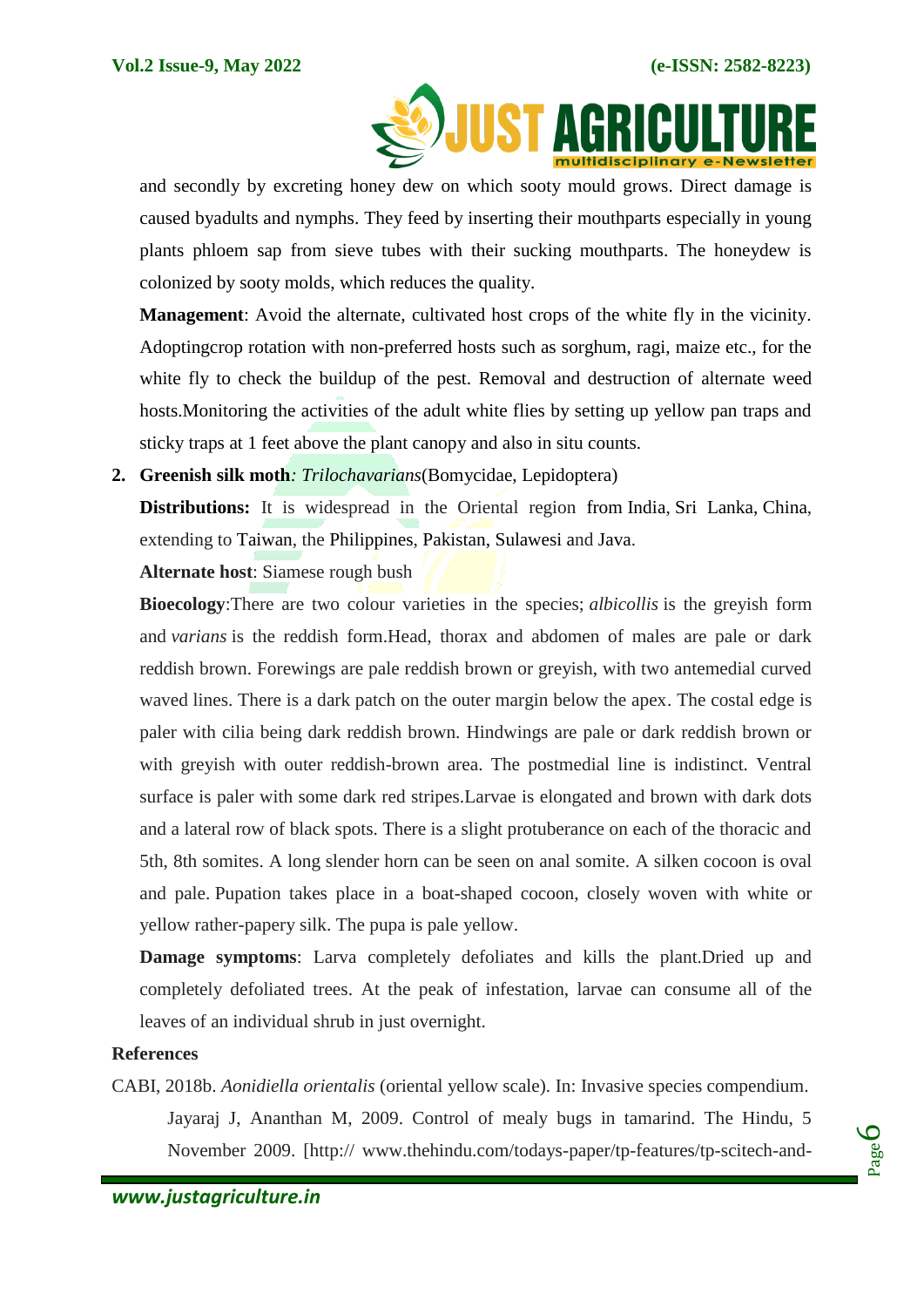

and secondly by excreting honey dew on which sooty mould grows. Direct damage is caused byadults and nymphs. They feed by inserting their mouthparts especially in young plants phloem sap from sieve tubes with their sucking mouthparts. The honeydew is colonized by sooty molds, which reduces the quality.

**Management**: Avoid the alternate, cultivated host crops of the white fly in the vicinity. Adoptingcrop rotation with non-preferred hosts such as sorghum, ragi, maize etc., for the white fly to check the buildup of the pest. Removal and destruction of alternate weed hosts.Monitoring the activities of the adult white flies by setting up yellow pan traps and sticky traps at 1 feet above the plant canopy and also in situ counts.

**2. Greenish silk moth***: Trilochavarians*(Bomycidae, Lepidoptera)

**Distributions:** It is widespread in the Oriental region from [India,](https://en.wikipedia.org/wiki/India) [Sri Lanka,](https://en.wikipedia.org/wiki/Sri_Lanka) [China,](https://en.wikipedia.org/wiki/China) extending to [Taiwan,](https://en.wikipedia.org/wiki/Taiwan) the [Philippines,](https://en.wikipedia.org/wiki/Philippines) [Pakistan,](https://en.wikipedia.org/wiki/Pakistan) [Sulawesi](https://en.wikipedia.org/wiki/Sulawesi) and [Java.](https://en.wikipedia.org/wiki/Java)

**Alternate host**: Siamese rough bush

**Bioecology**:There are two colour varieties in the species; *albicollis* is the greyish form and *varians* is the reddish form.Head, thorax and abdomen of males are pale or dark reddish brown. Forewings are pale reddish brown or greyish, with two antemedial curved waved lines. There is a dark patch on the outer margin below the apex. The costal edge is paler with cilia being dark reddish brown. Hindwings are pale or dark reddish brown or with greyish with outer reddish-brown area. The postmedial line is indistinct. Ventral surface is paler with some dark red stripes.Larvae is elongated and brown with dark dots and a lateral row of black spots. There is a slight protuberance on each of the thoracic and 5th, 8th somites. A long slender horn can be seen on anal somite. A silken cocoon is oval and pale. Pupation takes place in a boat-shaped cocoon, closely woven with white or yellow rather-papery silk. The pupa is pale yellow.

**Damage symptoms**: Larva completely defoliates and kills the plant.Dried up and completely defoliated trees. At the peak of infestation, larvae can consume all of the leaves of an individual shrub in just overnight.

### **References**

CABI, 2018b. *Aonidiella orientalis* (oriental yellow scale). In: Invasive species compendium. Jayaraj J, Ananthan M, 2009. Control of mealy bugs in tamarind. The Hindu, 5 November 2009. [http:// www.thehindu.com/todays-paper/tp-features/tp-scitech-and-